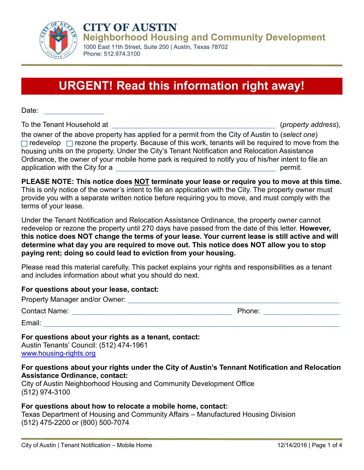

**CITY OF AUSTIN Neighborhood Housing and Community Development**

1000 East 11th Street, Suite 200 | Austin, Texas 78702 Phone: 512.974.3100

# **URGENT! Read this information right away!**

Date:

To the Tenant Household at  $(property address)$ ,

the owner of the above property has applied for a permit from the City of Austin to (*select one*)  $\Box$  redevelop  $\Box$  rezone the property. Because of this work, tenants will be required to move from the housing units on the property. Under the City's Tenant Notification and Relocation Assistance Ordinance, the owner of your mobile home park is required to notify you of his/her intent to file an application with the City for a zero and the set of a set of the set of the set of the set of the set of the set of the set of the set of the set of the set of the set of the set of the set of the set of the set of the set

**PLEASE NOTE: This notice does NOT terminate your lease or require you to move at this time.** This is only notice of the owner's intent to file an application with the City. The property owner must provide you with a separate written notice before requiring you to move, and must comply with the terms of your lease.

Under the Tenant Notification and Relocation Assistance Ordinance, the property owner cannot redevelop or rezone the property until 270 days have passed from the date of this letter. **However, this notice does NOT change the terms of your lease. Your current lease is still active and will determine what day you are required to move out. This notice does NOT allow you to stop paying rent; doing so could lead to eviction from your housing.**

Please read this material carefully. This packet explains your rights and responsibilities as a tenant and includes information about what you should do next.

#### **For questions about your lease, contact:**

| Property Manager and/or Owner: |        |
|--------------------------------|--------|
| <b>Contact Name:</b>           | Phone: |
| Email:                         |        |

#### **For questions about your rights as a tenant, contact:**

Austin Tenants' Council: (512) 474-1961 [www.housing-rights.org](http://www.housing-rights.org/)

#### **For questions about your rights under the City of Austin's Tennant Notification and Relocation Assistance Ordinance, contact:**

City of Austin Neighborhood Housing and Community Development Office (512) 974-3100

#### **For questions about how to relocate a mobile home, contact:**

Texas Department of Housing and Community Affairs – Manufactured Housing Division (512) 475-2200 or (800) 500-7074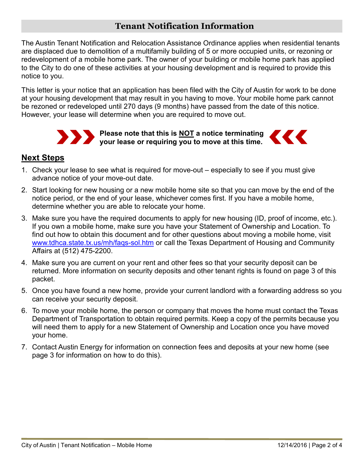## **Tenant Notification Information**

The Austin Tenant Notification and Relocation Assistance Ordinance applies when residential tenants are displaced due to demolition of a multifamily building of 5 or more occupied units, or rezoning or redevelopment of a mobile home park. The owner of your building or mobile home park has applied to the City to do one of these activities at your housing development and is required to provide this notice to you.

This letter is your notice that an application has been filed with the City of Austin for work to be done at your housing development that may result in you having to move. Your mobile home park cannot be rezoned or redeveloped until 270 days (9 months) have passed from the date of this notice. However, your lease will determine when you are required to move out.



## **Next Steps**

- 1. Check your lease to see what is required for move-out especially to see if you must give advance notice of your move-out date.
- 2. Start looking for new housing or a new mobile home site so that you can move by the end of the notice period, or the end of your lease, whichever comes first. If you have a mobile home, determine whether you are able to relocate your home.
- 3. Make sure you have the required documents to apply for new housing (ID, proof of income, etc.). If you own a mobile home, make sure you have your Statement of Ownership and Location. To find out how to obtain this document and for other questions about moving a mobile home, visit [www.tdhca.state.tx.us/mh/faqs-sol.htm](http://www.tdhca.state.tx.us/mh/faqs-sol.htm) or call the Texas Department of Housing and Community Affairs at (512) 475-2200.
- 4. Make sure you are current on your rent and other fees so that your security deposit can be returned. More information on security deposits and other tenant rights is found on page 3 of this packet.
- 5. Once you have found a new home, provide your current landlord with a forwarding address so you can receive your security deposit.
- 6. To move your mobile home, the person or company that moves the home must contact the Texas Department of Transportation to obtain required permits. Keep a copy of the permits because you will need them to apply for a new Statement of Ownership and Location once you have moved your home.
- 7. Contact Austin Energy for information on connection fees and deposits at your new home (see page 3 for information on how to do this).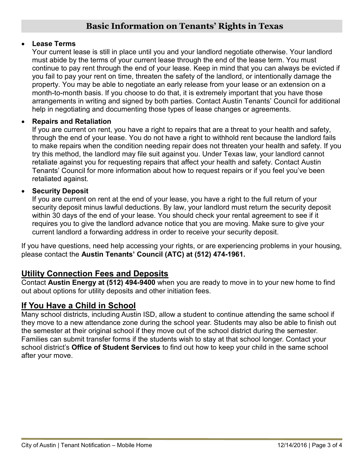#### • **Lease Terms**

Your current lease is still in place until you and your landlord negotiate otherwise. Your landlord must abide by the terms of your current lease through the end of the lease term. You must continue to pay rent through the end of your lease. Keep in mind that you can always be evicted if you fail to pay your rent on time, threaten the safety of the landlord, or intentionally damage the property. You may be able to negotiate an early release from your lease or an extension on a month-to-month basis. If you choose to do that, it is extremely important that you have those arrangements in writing and signed by both parties. Contact Austin Tenants' Council for additional help in negotiating and documenting those types of lease changes or agreements.

#### • **Repairs and Retaliation**

If you are current on rent, you have a right to repairs that are a threat to your health and safety, through the end of your lease. You do not have a right to withhold rent because the landlord fails to make repairs when the condition needing repair does not threaten your health and safety. If you try this method, the landlord may file suit against you. Under Texas law, your landlord cannot retaliate against you for requesting repairs that affect your health and safety. Contact Austin Tenants' Council for more information about how to request repairs or if you feel you've been retaliated against.

#### • **Security Deposit**

If you are current on rent at the end of your lease, you have a right to the full return of your security deposit minus lawful deductions. By law, your landlord must return the security deposit within 30 days of the end of your lease. You should check your rental agreement to see if it requires you to give the landlord advance notice that you are moving. Make sure to give your current landlord a forwarding address in order to receive your security deposit.

If you have questions, need help accessing your rights, or are experiencing problems in your housing, please contact the **Austin Tenants' Council (ATC) at (512) 474-1961.**

# **Utility Connection Fees and Deposits**

Contact **Austin Energy at (512) 494-9400** when you are ready to move in to your new home to find out about options for utility deposits and other initiation fees.

# **If You Have a Child in School**

Many school districts, including Austin ISD, allow a student to continue attending the same school if they move to a new attendance zone during the school year. Students may also be able to finish out the semester at their original school if they move out of the school district during the semester. Families can submit transfer forms if the students wish to stay at that school longer. Contact your school district's **Office of Student Services** to find out how to keep your child in the same school after your move.